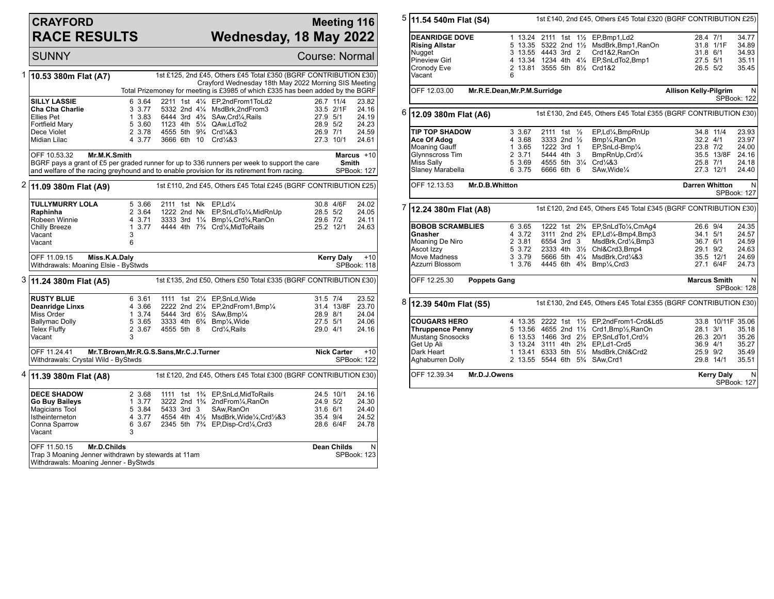## **CRAYFORD RACE RESULTS**

## **Meeting 116 Wednesday, 18 May 2022**

SUNNY Course: Normal 1 **10.53 380m Flat (A7)** 1st £125, 2nd £45, Others £45 Total £350 (BGRF CONTRIBUTION £30) Crayford Wednesday 18th May 2022 Morning SIS Meeting Total Prizemoney for meeting is £3985 of which £335 has been added by the BGRF **SILLY LASSIE** 6 3.64 2211 1st 41/<sub>4</sub> EP,2ndFrom1ToLd2 26.7 11/4 23.82<br> **Cha Cha Charlie** 3 3.77 5332 2nd 41/<sub>4</sub> MsdBrk,2ndFrom3 33.5 2/1F 24.16 **Cha Cha Charlie** 3 3.77 5332 2nd 4<sup>1</sup>/<sub>4</sub> MsdBrk,2ndFrom3 33.5 2/1F 24.16<br>
Ellies Pet 3.83 6444 3rd 4<sup>9</sup>/<sub>4</sub> SAw,Crd<sup>1</sup>/<sub>4</sub>,Rails 27.9 5/1 24.19 Ellies Pet 1 3.83 6444 3rd 4¾ SAw,Crd¼,Rails 27.9 5/1 24.19 Fortfield Mary 5 3.60 1123 4th 5¼ QAw,LdTo2 28.9 5/2 24.23 Dece Violet 2 3.78 4555 5th 9¾ Crd¼&3 26.9 7/1 24.59 3666 6th 10 Crd¼&3 OFF 10.53.32 **Mr.M.K.Smith** BGRF pays a grant of £5 per graded runner for up to 336 runners per week to support the care and welfare of the racing greyhound and to enable provision for its retirement from racing. **Marcus** +10 **Smith** SPBook: 127 2 **11.09 380m Flat (A9)** 1st £110, 2nd £45, Others £45 Total £245 (BGRF CONTRIBUTION £25) **TULLYMURRY LOLA** 5 3.66 2111 1st Nk EP,Ld<sup>1</sup>/<sub>4</sub> 30.8 4/6F 24.02<br>**Raphinha** 2 3.64 1222 2nd Nk EP.SnLdTo<sup>1</sup>/<sub>4</sub>.MidRnUp 28.5 5/2 24.05 **Raphinha** 2 3.64 1222 2nd Nk EP, SnLdTo<sup>1</sup>/<sub>4</sub>, MidRnUp 28.5 5/2 24.05<br>Robeen Winnie 29.6 712 24.11 3333 3rd 1<sup>1</sup>/<sub>4</sub> Bmp<sup>1</sup>/<sub>4</sub>.Crd<sup>3</sup>/4, RanOn 29.6 7/2 24.11 Robeen Winnie 4 3.71 3333 3rd 1¼ Bmp¼,Crd¾,RanOn 29.6 7/2 24.11 1 3.77 4444 4th 7¾ Crd¼,MidToRails 25.2 12/1 Vacant 3<br>Vacant 6 Vacant OFF 11.09.15 **Miss.K.A.Daly** Withdrawals: Moaning Elsie - ByStwds **Kerry Daly** +10 SPBook: 118 3 **11.24 380m Flat (A5)** 1st £135, 2nd £50, Others £50 Total £335 (BGRF CONTRIBUTION £30) **RUSTY BLUE** 6 3.61 1111 1st 2<sup>1</sup>/<sub>4</sub> EP, SnLd, Wide 31.5 7/4 23.52<br> **Deanridge Linxs** 4 3.66 2222 2nd 2<sup>1</sup>/<sub>4</sub> EP, 2nd From 1, Bmp<sup>1</sup>/<sub>4</sub> 31.4 13/8F 23.70 **Deanridge Linxs** 4 3.66 2222 2nd 2<sup>1</sup>/<sub>4</sub> EP,2ndFrom1,Bmp<sup>1</sup>/<sub>4</sub> 31.4 13/8F 23.70<br>Miss Order 1 3.74 5444 3rd 6<sup>1</sup>/<sub>2</sub> SAw,Bmp<sup>1</sup>/<sub>4</sub> 28.9 8/1 24.04 Miss Order 1 3.74 5444 3rd 6½ SAw,Bmp¼ 28.9 8/1 24.04 Ballymac Dolly 5 3.65 3333 4th 6¾ Bmp¼,Wide 27.5 5/1 24.06 2 3.67 4555 5th 8 Crd¼,Rails 3 Vacant OFF 11.24.41 **Mr.T.Brown,Mr.R.G.S.Sans,Mr.C.J.Turner** Withdrawals: Crystal Wild - ByStwds **Nick Carter** +10 SPBook: 122 4 **11.39 380m Flat (A8)** 1st £120, 2nd £45, Others £45 Total £300 (BGRF CONTRIBUTION £30) **DECE SHADOW** 2 3.68 1111 1st 1<sup>3</sup>/<sub>4</sub> EP,SnLd,MidToRails 24.5 10/1 24.16<br> **Go Buy Baileys** 1 3.77 3222 2nd 1<sup>3</sup>/<sub>4</sub> 2ndFrom<sup>1</sup>/<sub>4</sub>,RanOn 24.9 5/2 24.30 **Go Buy Baileys** 1 3.77 3222 2nd 1<sup>3</sup>/<sub>4</sub> 2ndFrom<sup>1</sup>/<sub>4</sub>,RanOn 24.9 5/2 24.30<br>Magicians Tool 5 3.84 5433 3rd 3 SAw.RanOn 31.6 6/1 24.40 Magicians Tool 5 3.84 5433 3rd 3 SAw,RanOn 31.6 6/1 24.40 Istheinterneton 4 3.77 4554 4th 4½ MsdBrk,Wide¼,Crd½&3 35.4 9/4 24.52<br>Conna Sparrow 6 3.67 2345 5th 7<sup>3</sup>/<sub>4</sub> EP,Disp-Crd¼,Crd3 28.6 6/4F 24.78 6 3.67 2345 5th  $7\frac{3}{4}$  EP,Disp-Crd¼,Crd3 Vacant OFF 11.50.15 **Mr.D.Childs** Trap 3 Moaning Jenner withdrawn by stewards at 11am Withdrawals: Moaning Jenner - ByStwds **Dean Childs** N SPBook: 123

5 **11.54 540m Flat (S4)** 1st £140, 2nd £45, Others £45 Total £320 (BGRF CONTRIBUTION £25) **DEANRIDGE DOVE** 1 13.24 2111 1st 1<sup>1</sup>/<sub>2</sub> EP,Bmp1,Ld2 28.4 7/1 34.77<br> **Rising Allstar** 5 13.35 5322 2nd 1<sup>1</sup>/<sub>2</sub> MsdBrk.Bmp1.RanOn 31.8 1/1F 34.89 **Rising Allstar** 5 13.35 5322 2nd 1<sup>1</sup>/<sub>2</sub> MsdBrk,Bmp1,RanOn 31.8 1/1F 34.89<br>Nugget 31.8 6/1 34.93 313.55 4443 3rd 2 Crd1&2,RanOn 31.8 6/1 34.93 Nugget 3 13.55 4443 3rd 2 Crd1&2,RanOn 31.8 6/1 34.93 Pineview Girl **4 13.34 1234 4th 4¼ EP,SnLdTo2,Bmp1** 27.5 5/1 35.11<br>Cronody Eve 2 13.81 3555 5th 8½ Crd1&2 26.5 5/2 35.45 2 13.81 3555 5th 81/2 Crd1&2 Vacant 6 OFF 12.03.00 **Mr.R.E.Dean,Mr.P.M.Surridge Allison Kelly-Pilgrim** N SPBook: 122 6 **12.09 380m Flat (A6)** 1st £130, 2nd £45, Others £45 Total £355 (BGRF CONTRIBUTION £30) **TIP TOP SHADOW** 3 3.67 2111 1st 1/<sub>2</sub> EP,Ld<sup>1</sup>/<sub>4</sub>,BmpRnUp 34.8 11/4 23.93<br> **Ace Of Adog** 4 3.68 3333 2nd 1/<sub>2</sub> Bmp<sup>1</sup>/<sub>4</sub>,RanOn 32.2 4/1 23.97 **Ace Of Adog** 4 3.68 3333 2nd ½ Bmp¼,RanOn 32.2 4/1 23.97 Moaning Gauff 1 3.65 1222 3rd 1 EP,SnLd-Bmp¼ 23.8 7/2 24.00 Glynnscross Tim 2 3.71 5444 4th 3 BmpRnUp,Crd¼ 35.5 13/8F 24.16<br>Miss Sally 35.69 4555 5th 3¼ Crd¼&3 25.8 7/1 24.18 Miss Sally 5 3.69 4555 5th 3¼ Crd¼&3 25.8 7/1 24.18 Slaney Marabella OFF 12.13.53 **Mr.D.B.Whitton Darren Whitton** N SPBook: 127 7 **12.24 380m Flat (A8)** 1st £120, 2nd £45, Others £45 Total £345 (BGRF CONTRIBUTION £30) **BOBOB SCRAMBLIES** 6 3.65 1222 1st 2<sup>9</sup>/<sub>4</sub> EP,SnLdTo<sup>1</sup>/<sub>4</sub>,CmAg4 26.6 9/4 24.35<br> **Gnasher** 4 3.72 3111 2nd 2<sup>9</sup>/<sub>4</sub> EP,Ld<sup>1</sup>/<sub>4</sub>-Bmp4,Bmp3 34.1 5/1 24.57 **Gnasher** 4 3.72 3111 2nd 2¾ EP,Ld¼-Bmp4,Bmp3 34.1 5/1 24.57 Moaning De Niro 2 3.81 6554 3rd 3 MsdBrk,Crd¼,Bmp3 36.7 6/1 24.59 Ascot Izzy 5 3.72 2333 4th 3½ Chl&Crd3,Bmp4 29.1 9/2 24.63 Move Madness 3 3.79 5666 5th 4¼ MsdBrk,Crd¼&3 35.5 12/1 24.69 4445 6th 4<sup>3</sup>/<sub>4</sub> Bmp<sup>1</sup>/<sub>4</sub>,Crd3 OFF 12.25.30 **Poppets Gang Marcus Smith** N SPBook: 128 8 **12.39 540m Flat (S5)** 1st £130, 2nd £45, Others £45 Total £355 (BGRF CONTRIBUTION £30) **COUGARS HERO** 4 13.35 2222 1st 1<sup>1</sup>/<sub>2</sub> EP,2ndFrom1-Crd&Ld5 33.8 10/11F 35.06<br>
Thruppence Penny 5 13.56 4655 2nd 1<sup>1</sup>/<sub>2</sub> Crd1.Bmp<sup>1</sup>/<sub>2</sub> RanOn 28.1 3/1 35.18 **Thruppence Penny** 5 13.56 4655 2nd 1<sup>1</sup>/<sub>2</sub> Crd1,Bmp<sup>1</sup>/<sub>2</sub>,RanOn 28.1 3/1 35.18<br>Mustang Snosocks 6 13.53 1466 3rd 2<sup>1</sup>/<sub>2</sub> EP,SnLdTo1,Crd<sup>1</sup>/<sub>2</sub> 26.3 20/1 35.26 Mustang Snosocks 6 13.53 1466 3rd 2½ EP,SnLdTo1,Crd½ 26.3 20/1 35.26 Get Up Ali 3 13.24 3111 4th 2¾ EP,Ld1-Crd5 36.9 4/1 35.27 Dark Heart 1 13.41 6333 5th 5½ MsdBrk,Chl&Crd2 25.9 9/2 35.49 2 13.55 5544 6th 5<sup>3</sup>/4 SAw,Crd1 OFF 12.39.34 **Mr.D.J.Owens Kerry Daly** N SPBook: 127